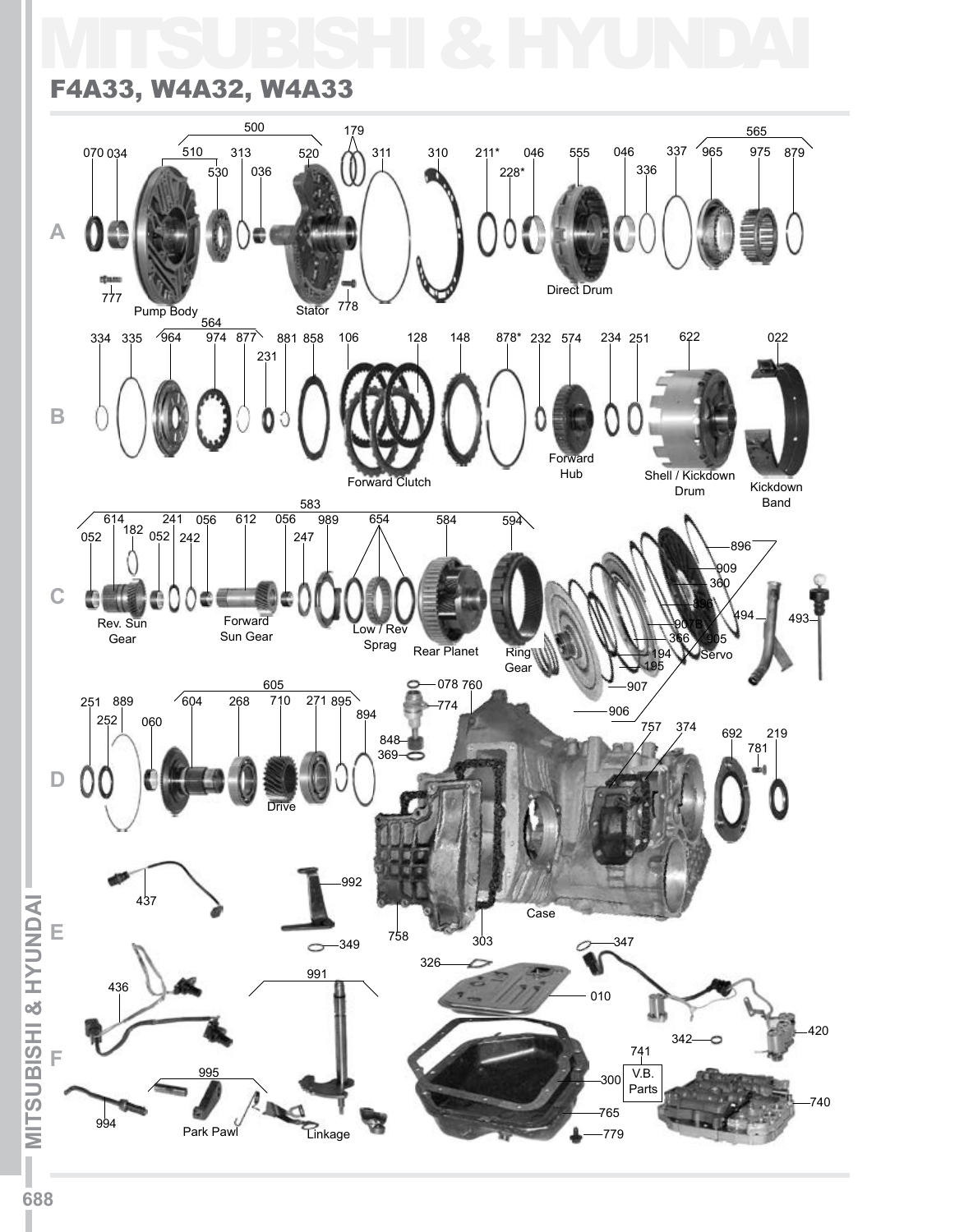## MITSUBISHI & HYUNDAI

## F4A33, W4A32, W4A33